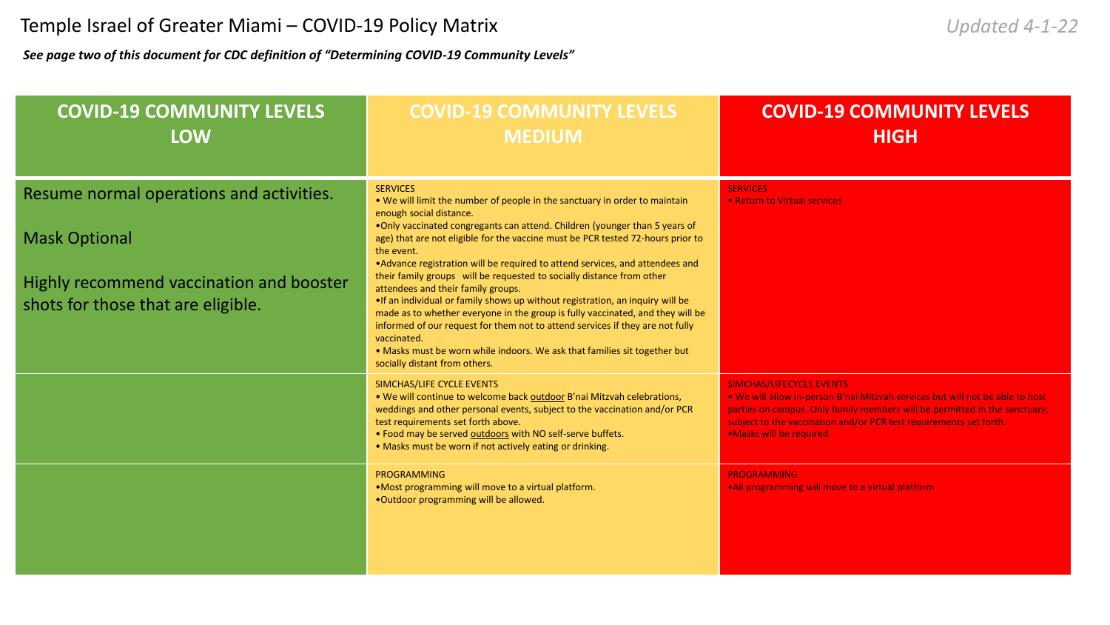*See page two of this document for CDC definition of "Determining COVID-19 Community Levels"*

| <b>COVID-19 COMMUNITY LEVELS</b><br><b>LOW</b>                                                                                                     | <b>COVID-19 COMMUNITY LEVELS</b><br><b>MEDIUM</b>                                                                                                                                                                                                                                                                                                                                                                                                                                                                                                                                                                                                                                                                                                                                                                                                                                          | <b>COVID-19 COMMUNITY LEVELS</b><br><b>HIGH</b>                                                                                                                                                                                                                                                  |
|----------------------------------------------------------------------------------------------------------------------------------------------------|--------------------------------------------------------------------------------------------------------------------------------------------------------------------------------------------------------------------------------------------------------------------------------------------------------------------------------------------------------------------------------------------------------------------------------------------------------------------------------------------------------------------------------------------------------------------------------------------------------------------------------------------------------------------------------------------------------------------------------------------------------------------------------------------------------------------------------------------------------------------------------------------|--------------------------------------------------------------------------------------------------------------------------------------------------------------------------------------------------------------------------------------------------------------------------------------------------|
| Resume normal operations and activities.<br><b>Mask Optional</b><br>Highly recommend vaccination and booster<br>shots for those that are eligible. | <b>SERVICES</b><br>. We will limit the number of people in the sanctuary in order to maintain<br>enough social distance.<br>. Only vaccinated congregants can attend. Children (younger than 5 years of<br>age) that are not eligible for the vaccine must be PCR tested 72-hours prior to<br>the event.<br>• Advance registration will be required to attend services, and attendees and<br>their family groups will be requested to socially distance from other<br>attendees and their family groups.<br>. If an individual or family shows up without registration, an inquiry will be<br>made as to whether everyone in the group is fully vaccinated, and they will be<br>informed of our request for them not to attend services if they are not fully<br>vaccinated.<br>. Masks must be worn while indoors. We ask that families sit together but<br>socially distant from others. | <b>SERVICES</b><br>• Return to Virtual services                                                                                                                                                                                                                                                  |
|                                                                                                                                                    | SIMCHAS/LIFE CYCLE EVENTS<br>. We will continue to welcome back outdoor B'nai Mitzvah celebrations,<br>weddings and other personal events, subject to the vaccination and/or PCR<br>test requirements set forth above.<br>. Food may be served outdoors with NO self-serve buffets.<br>• Masks must be worn if not actively eating or drinking.                                                                                                                                                                                                                                                                                                                                                                                                                                                                                                                                            | <b>SIMCHAS/LIFECYCLE EVENTS</b><br>. We will allow in-person B'nai Mitzvah services but will not be able to host<br>parties on campus. Only family members will be permitted in the sanctuary,<br>subject to the vaccination and/or PCR test requirements set forth.<br>.Masks will be required. |
|                                                                                                                                                    | <b>PROGRAMMING</b><br>.Most programming will move to a virtual platform.<br>.Outdoor programming will be allowed.                                                                                                                                                                                                                                                                                                                                                                                                                                                                                                                                                                                                                                                                                                                                                                          | <b>PROGRAMMING</b><br>. All programming will move to a virtual platform                                                                                                                                                                                                                          |